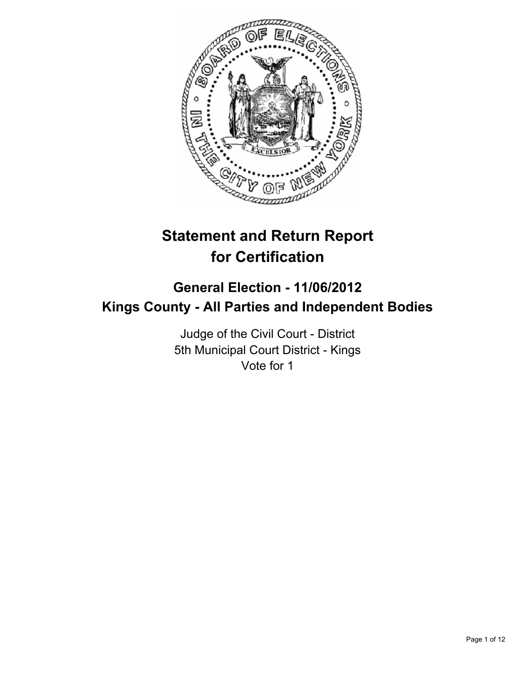

# **Statement and Return Report for Certification**

## **General Election - 11/06/2012 Kings County - All Parties and Independent Bodies**

Judge of the Civil Court - District 5th Municipal Court District - Kings Vote for 1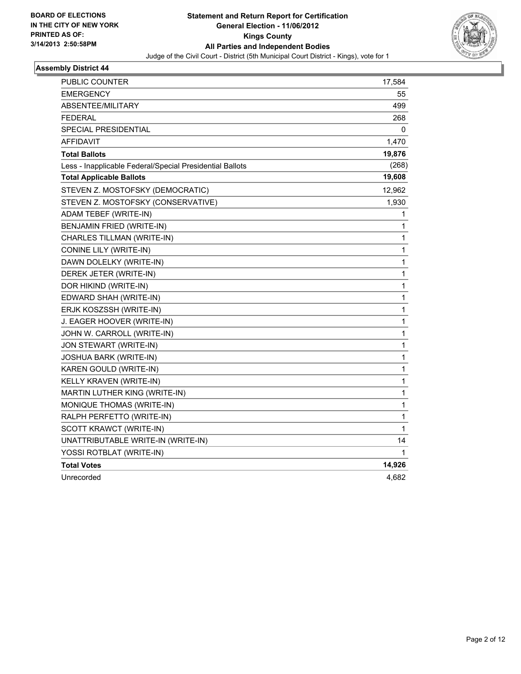

| PUBLIC COUNTER                                           | 17,584 |
|----------------------------------------------------------|--------|
| <b>EMERGENCY</b>                                         | 55     |
| <b>ABSENTEE/MILITARY</b>                                 | 499    |
| FEDERAL                                                  | 268    |
| <b>SPECIAL PRESIDENTIAL</b>                              | 0      |
| AFFIDAVIT                                                | 1,470  |
| <b>Total Ballots</b>                                     | 19,876 |
| Less - Inapplicable Federal/Special Presidential Ballots | (268)  |
| <b>Total Applicable Ballots</b>                          | 19,608 |
| STEVEN Z. MOSTOFSKY (DEMOCRATIC)                         | 12,962 |
| STEVEN Z. MOSTOFSKY (CONSERVATIVE)                       | 1,930  |
| ADAM TEBEF (WRITE-IN)                                    | 1      |
| BENJAMIN FRIED (WRITE-IN)                                | 1      |
| CHARLES TILLMAN (WRITE-IN)                               | 1      |
| CONINE LILY (WRITE-IN)                                   | 1      |
| DAWN DOLELKY (WRITE-IN)                                  | 1      |
| DEREK JETER (WRITE-IN)                                   | 1      |
| DOR HIKIND (WRITE-IN)                                    | 1      |
| EDWARD SHAH (WRITE-IN)                                   | 1      |
| ERJK KOSZSSH (WRITE-IN)                                  | 1      |
| J. EAGER HOOVER (WRITE-IN)                               | 1      |
| JOHN W. CARROLL (WRITE-IN)                               | 1      |
| JON STEWART (WRITE-IN)                                   | 1      |
| JOSHUA BARK (WRITE-IN)                                   | 1      |
| KAREN GOULD (WRITE-IN)                                   | 1      |
| KELLY KRAVEN (WRITE-IN)                                  | 1      |
| MARTIN LUTHER KING (WRITE-IN)                            | 1      |
| MONIQUE THOMAS (WRITE-IN)                                | 1      |
| RALPH PERFETTO (WRITE-IN)                                | 1      |
| SCOTT KRAWCT (WRITE-IN)                                  | 1      |
| UNATTRIBUTABLE WRITE-IN (WRITE-IN)                       | 14     |
| YOSSI ROTBLAT (WRITE-IN)                                 | 1      |
| <b>Total Votes</b>                                       | 14,926 |
| Unrecorded                                               | 4,682  |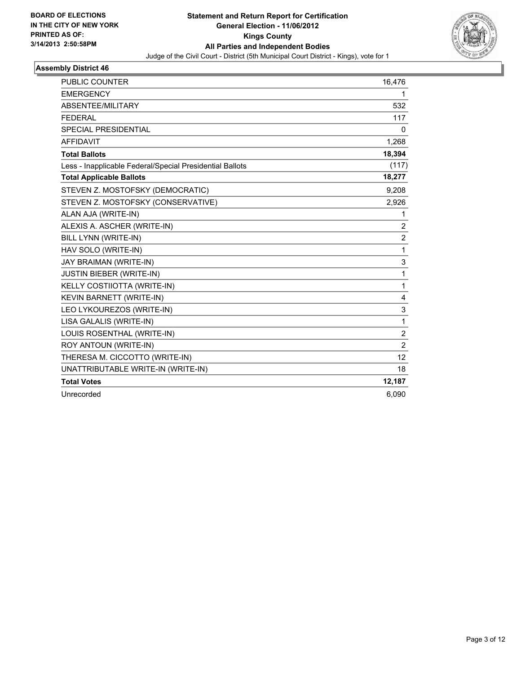

| <b>PUBLIC COUNTER</b>                                    | 16,476            |
|----------------------------------------------------------|-------------------|
| <b>EMERGENCY</b>                                         | 1                 |
| ABSENTEE/MILITARY                                        | 532               |
| <b>FEDERAL</b>                                           | 117               |
| <b>SPECIAL PRESIDENTIAL</b>                              | 0                 |
| <b>AFFIDAVIT</b>                                         | 1,268             |
| <b>Total Ballots</b>                                     | 18,394            |
| Less - Inapplicable Federal/Special Presidential Ballots | (117)             |
| <b>Total Applicable Ballots</b>                          | 18,277            |
| STEVEN Z. MOSTOFSKY (DEMOCRATIC)                         | 9,208             |
| STEVEN Z. MOSTOFSKY (CONSERVATIVE)                       | 2,926             |
| ALAN AJA (WRITE-IN)                                      | 1                 |
| ALEXIS A. ASCHER (WRITE-IN)                              | $\overline{c}$    |
| <b>BILL LYNN (WRITE-IN)</b>                              | $\overline{2}$    |
| HAV SOLO (WRITE-IN)                                      | 1                 |
| JAY BRAIMAN (WRITE-IN)                                   | 3                 |
| <b>JUSTIN BIEBER (WRITE-IN)</b>                          | $\mathbf 1$       |
| KELLY COSTIIOTTA (WRITE-IN)                              | 1                 |
| KEVIN BARNETT (WRITE-IN)                                 | 4                 |
| LEO LYKOUREZOS (WRITE-IN)                                | 3                 |
| LISA GALALIS (WRITE-IN)                                  | $\mathbf{1}$      |
| LOUIS ROSENTHAL (WRITE-IN)                               | $\overline{c}$    |
| ROY ANTOUN (WRITE-IN)                                    | $\overline{2}$    |
| THERESA M. CICCOTTO (WRITE-IN)                           | $12 \overline{ }$ |
| UNATTRIBUTABLE WRITE-IN (WRITE-IN)                       | 18                |
| <b>Total Votes</b>                                       | 12,187            |
| Unrecorded                                               | 6.090             |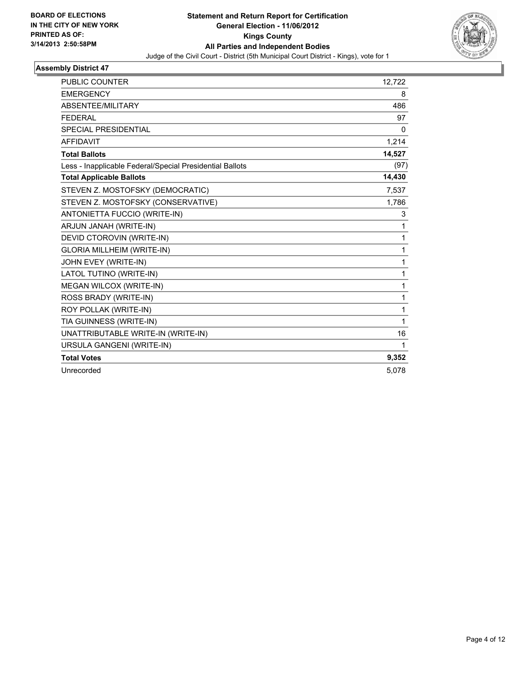

| <b>PUBLIC COUNTER</b>                                    | 12,722 |
|----------------------------------------------------------|--------|
| <b>EMERGENCY</b>                                         | 8      |
| ABSENTEE/MILITARY                                        | 486    |
| <b>FEDERAL</b>                                           | 97     |
| <b>SPECIAL PRESIDENTIAL</b>                              | 0      |
| <b>AFFIDAVIT</b>                                         | 1,214  |
| <b>Total Ballots</b>                                     | 14,527 |
| Less - Inapplicable Federal/Special Presidential Ballots | (97)   |
| <b>Total Applicable Ballots</b>                          | 14,430 |
| STEVEN Z. MOSTOFSKY (DEMOCRATIC)                         | 7,537  |
| STEVEN Z. MOSTOFSKY (CONSERVATIVE)                       | 1,786  |
| ANTONIETTA FUCCIO (WRITE-IN)                             | 3      |
| ARJUN JANAH (WRITE-IN)                                   | 1      |
| DEVID CTOROVIN (WRITE-IN)                                | 1      |
| <b>GLORIA MILLHEIM (WRITE-IN)</b>                        | 1      |
| JOHN EVEY (WRITE-IN)                                     | 1      |
| LATOL TUTINO (WRITE-IN)                                  | 1      |
| MEGAN WILCOX (WRITE-IN)                                  | 1      |
| ROSS BRADY (WRITE-IN)                                    | 1      |
| ROY POLLAK (WRITE-IN)                                    | 1      |
| TIA GUINNESS (WRITE-IN)                                  | 1      |
| UNATTRIBUTABLE WRITE-IN (WRITE-IN)                       | 16     |
| URSULA GANGENI (WRITE-IN)                                | 1      |
| <b>Total Votes</b>                                       | 9,352  |
| Unrecorded                                               | 5,078  |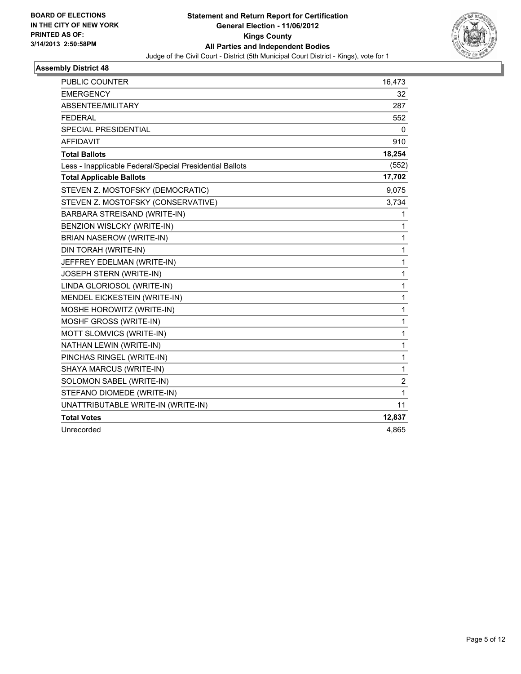

| <b>PUBLIC COUNTER</b>                                    | 16,473 |
|----------------------------------------------------------|--------|
| <b>EMERGENCY</b>                                         | 32     |
| ABSENTEE/MILITARY                                        | 287    |
| <b>FEDERAL</b>                                           | 552    |
| <b>SPECIAL PRESIDENTIAL</b>                              | 0      |
| <b>AFFIDAVIT</b>                                         | 910    |
| <b>Total Ballots</b>                                     | 18,254 |
| Less - Inapplicable Federal/Special Presidential Ballots | (552)  |
| <b>Total Applicable Ballots</b>                          | 17,702 |
| STEVEN Z. MOSTOFSKY (DEMOCRATIC)                         | 9,075  |
| STEVEN Z. MOSTOFSKY (CONSERVATIVE)                       | 3,734  |
| BARBARA STREISAND (WRITE-IN)                             | 1      |
| BENZION WISLCKY (WRITE-IN)                               | 1      |
| BRIAN NASEROW (WRITE-IN)                                 | 1      |
| DIN TORAH (WRITE-IN)                                     | 1      |
| JEFFREY EDELMAN (WRITE-IN)                               | 1      |
| JOSEPH STERN (WRITE-IN)                                  | 1      |
| LINDA GLORIOSOL (WRITE-IN)                               | 1      |
| MENDEL EICKESTEIN (WRITE-IN)                             | 1      |
| MOSHE HOROWITZ (WRITE-IN)                                | 1      |
| MOSHF GROSS (WRITE-IN)                                   | 1      |
| MOTT SLOMVICS (WRITE-IN)                                 | 1      |
| NATHAN LEWIN (WRITE-IN)                                  | 1      |
| PINCHAS RINGEL (WRITE-IN)                                | 1      |
| SHAYA MARCUS (WRITE-IN)                                  | 1      |
| SOLOMON SABEL (WRITE-IN)                                 | 2      |
| STEFANO DIOMEDE (WRITE-IN)                               | 1      |
| UNATTRIBUTABLE WRITE-IN (WRITE-IN)                       | 11     |
| <b>Total Votes</b>                                       | 12,837 |
| Unrecorded                                               | 4,865  |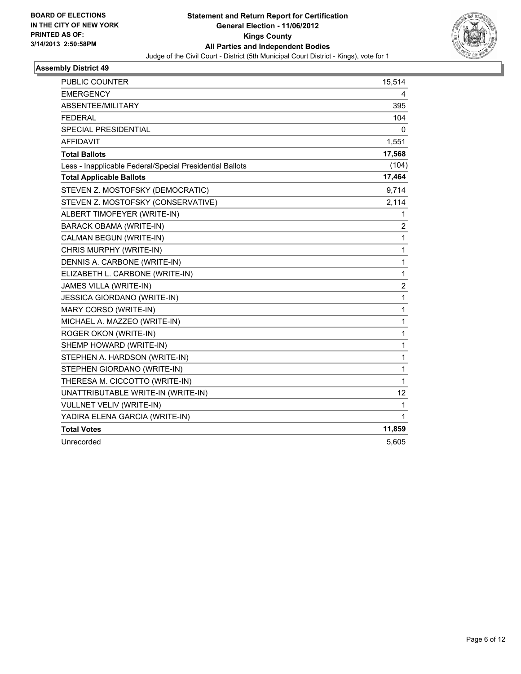

| PUBLIC COUNTER                                           | 15,514 |
|----------------------------------------------------------|--------|
| <b>EMERGENCY</b>                                         | 4      |
| ABSENTEE/MILITARY                                        | 395    |
| <b>FEDERAL</b>                                           | 104    |
| <b>SPECIAL PRESIDENTIAL</b>                              | 0      |
| <b>AFFIDAVIT</b>                                         | 1,551  |
| <b>Total Ballots</b>                                     | 17,568 |
| Less - Inapplicable Federal/Special Presidential Ballots | (104)  |
| <b>Total Applicable Ballots</b>                          | 17,464 |
| STEVEN Z. MOSTOFSKY (DEMOCRATIC)                         | 9,714  |
| STEVEN Z. MOSTOFSKY (CONSERVATIVE)                       | 2,114  |
| ALBERT TIMOFEYER (WRITE-IN)                              | 1      |
| <b>BARACK OBAMA (WRITE-IN)</b>                           | 2      |
| CALMAN BEGUN (WRITE-IN)                                  | 1      |
| CHRIS MURPHY (WRITE-IN)                                  | 1      |
| DENNIS A. CARBONE (WRITE-IN)                             | 1      |
| ELIZABETH L. CARBONE (WRITE-IN)                          | 1      |
| JAMES VILLA (WRITE-IN)                                   | 2      |
| <b>JESSICA GIORDANO (WRITE-IN)</b>                       | 1      |
| MARY CORSO (WRITE-IN)                                    | 1      |
| MICHAEL A. MAZZEO (WRITE-IN)                             | 1      |
| ROGER OKON (WRITE-IN)                                    | 1      |
| SHEMP HOWARD (WRITE-IN)                                  | 1      |
| STEPHEN A. HARDSON (WRITE-IN)                            | 1      |
| STEPHEN GIORDANO (WRITE-IN)                              | 1      |
| THERESA M. CICCOTTO (WRITE-IN)                           | 1      |
| UNATTRIBUTABLE WRITE-IN (WRITE-IN)                       | 12     |
| <b>VULLNET VELIV (WRITE-IN)</b>                          | 1      |
| YADIRA ELENA GARCIA (WRITE-IN)                           | 1      |
| <b>Total Votes</b>                                       | 11,859 |
| Unrecorded                                               | 5,605  |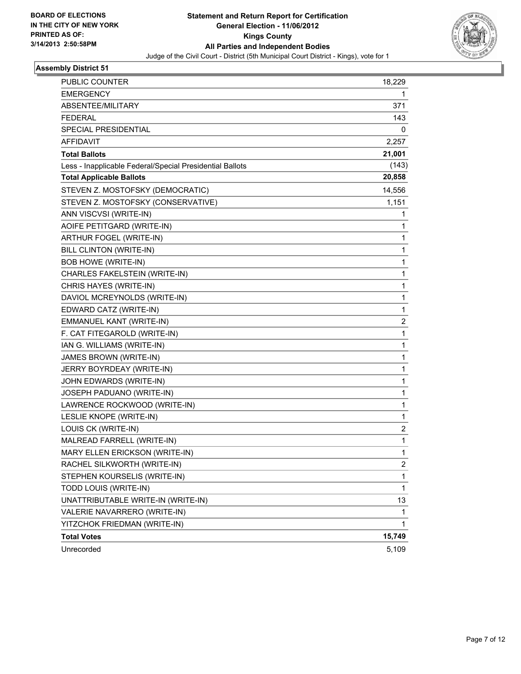

| <b>PUBLIC COUNTER</b>                                    | 18,229       |
|----------------------------------------------------------|--------------|
| EMERGENCY                                                | 1            |
| <b>ABSENTEE/MILITARY</b>                                 | 371          |
| FEDERAL                                                  | 143          |
| SPECIAL PRESIDENTIAL                                     | 0            |
| <b>AFFIDAVIT</b>                                         | 2,257        |
| <b>Total Ballots</b>                                     | 21,001       |
| Less - Inapplicable Federal/Special Presidential Ballots | (143)        |
| <b>Total Applicable Ballots</b>                          | 20,858       |
| STEVEN Z. MOSTOFSKY (DEMOCRATIC)                         | 14,556       |
| STEVEN Z. MOSTOFSKY (CONSERVATIVE)                       | 1,151        |
| ANN VISCVSI (WRITE-IN)                                   | 1            |
| AOIFE PETITGARD (WRITE-IN)                               | 1            |
| ARTHUR FOGEL (WRITE-IN)                                  | 1            |
| <b>BILL CLINTON (WRITE-IN)</b>                           | 1            |
| <b>BOB HOWE (WRITE-IN)</b>                               | 1            |
| CHARLES FAKELSTEIN (WRITE-IN)                            | 1            |
| CHRIS HAYES (WRITE-IN)                                   | 1            |
| DAVIOL MCREYNOLDS (WRITE-IN)                             | 1            |
| EDWARD CATZ (WRITE-IN)                                   | 1            |
| EMMANUEL KANT (WRITE-IN)                                 | 2            |
| F. CAT FITEGAROLD (WRITE-IN)                             | 1            |
| IAN G. WILLIAMS (WRITE-IN)                               | 1            |
| JAMES BROWN (WRITE-IN)                                   | 1            |
| JERRY BOYRDEAY (WRITE-IN)                                | 1            |
| JOHN EDWARDS (WRITE-IN)                                  | 1            |
| JOSEPH PADUANO (WRITE-IN)                                | 1            |
| LAWRENCE ROCKWOOD (WRITE-IN)                             | 1            |
| LESLIE KNOPE (WRITE-IN)                                  | 1            |
| LOUIS CK (WRITE-IN)                                      | 2            |
| MALREAD FARRELL (WRITE-IN)                               | 1            |
| MARY ELLEN ERICKSON (WRITE-IN)                           | 1            |
| RACHEL SILKWORTH (WRITE-IN)                              | 2            |
| STEPHEN KOURSELIS (WRITE-IN)                             | 1            |
| TODD LOUIS (WRITE-IN)                                    | 1            |
| UNATTRIBUTABLE WRITE-IN (WRITE-IN)                       | 13           |
| VALERIE NAVARRERO (WRITE-IN)                             | $\mathbf{1}$ |
| YITZCHOK FRIEDMAN (WRITE-IN)                             | 1            |
| <b>Total Votes</b>                                       | 15,749       |
| Unrecorded                                               | 5,109        |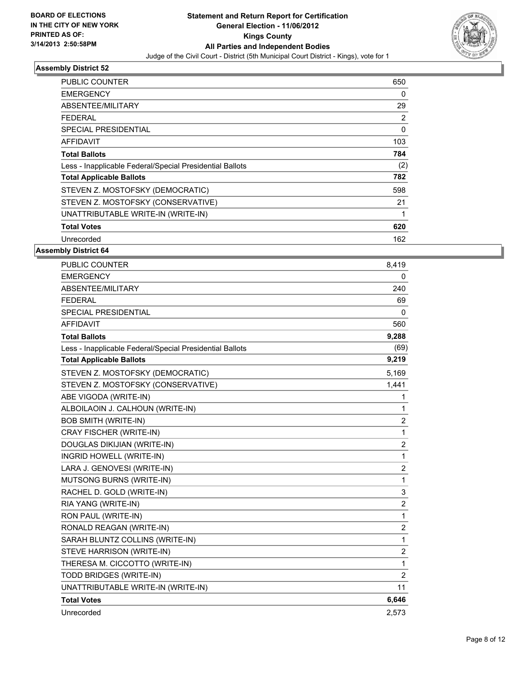

| <b>PUBLIC COUNTER</b>                                    | 650 |
|----------------------------------------------------------|-----|
| <b>EMERGENCY</b>                                         | 0   |
| ABSENTEE/MILITARY                                        | 29  |
| <b>FEDERAL</b>                                           | 2   |
| SPECIAL PRESIDENTIAL                                     | 0   |
| AFFIDAVIT                                                | 103 |
| <b>Total Ballots</b>                                     | 784 |
| Less - Inapplicable Federal/Special Presidential Ballots | (2) |
| <b>Total Applicable Ballots</b>                          | 782 |
| STEVEN Z. MOSTOFSKY (DEMOCRATIC)                         | 598 |
| STEVEN Z. MOSTOFSKY (CONSERVATIVE)                       | 21  |
| UNATTRIBUTABLE WRITE-IN (WRITE-IN)                       | 1   |
| <b>Total Votes</b>                                       | 620 |
| Unrecorded                                               | 162 |

| <b>PUBLIC COUNTER</b>                                    | 8,419          |
|----------------------------------------------------------|----------------|
| <b>EMERGENCY</b>                                         | 0              |
| ABSENTEE/MILITARY                                        | 240            |
| <b>FEDERAL</b>                                           | 69             |
| SPECIAL PRESIDENTIAL                                     | 0              |
| <b>AFFIDAVIT</b>                                         | 560            |
| <b>Total Ballots</b>                                     | 9,288          |
| Less - Inapplicable Federal/Special Presidential Ballots | (69)           |
| <b>Total Applicable Ballots</b>                          | 9,219          |
| STEVEN Z. MOSTOFSKY (DEMOCRATIC)                         | 5,169          |
| STEVEN Z. MOSTOFSKY (CONSERVATIVE)                       | 1,441          |
| ABE VIGODA (WRITE-IN)                                    | 1              |
| ALBOILAOIN J. CALHOUN (WRITE-IN)                         | 1              |
| <b>BOB SMITH (WRITE-IN)</b>                              | 2              |
| <b>CRAY FISCHER (WRITE-IN)</b>                           | 1              |
| DOUGLAS DIKIJIAN (WRITE-IN)                              | 2              |
| INGRID HOWELL (WRITE-IN)                                 | 1              |
| LARA J. GENOVESI (WRITE-IN)                              | 2              |
| MUTSONG BURNS (WRITE-IN)                                 | 1              |
| RACHEL D. GOLD (WRITE-IN)                                | 3              |
| RIA YANG (WRITE-IN)                                      | 2              |
| RON PAUL (WRITE-IN)                                      | 1              |
| RONALD REAGAN (WRITE-IN)                                 | $\overline{c}$ |
| SARAH BLUNTZ COLLINS (WRITE-IN)                          | 1              |
| STEVE HARRISON (WRITE-IN)                                | $\overline{c}$ |
| THERESA M. CICCOTTO (WRITE-IN)                           | 1              |
| TODD BRIDGES (WRITE-IN)                                  | $\overline{2}$ |
| UNATTRIBUTABLE WRITE-IN (WRITE-IN)                       | 11             |
| <b>Total Votes</b>                                       | 6,646          |
| Unrecorded                                               | 2,573          |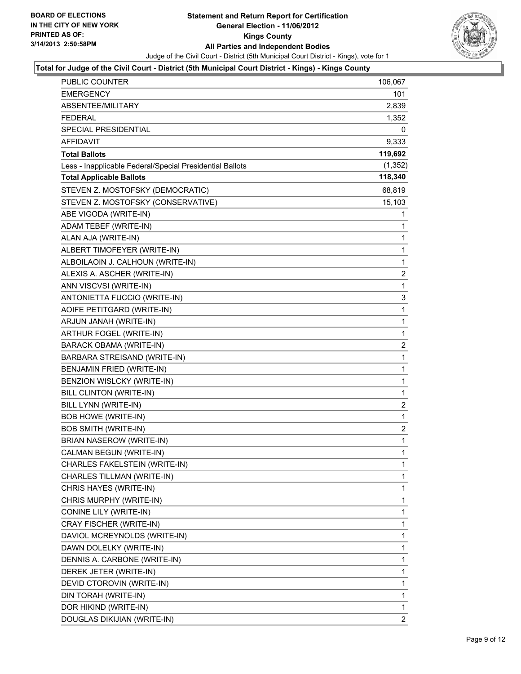

#### **Total for Judge of the Civil Court - District (5th Municipal Court District - Kings) - Kings County**

| PUBLIC COUNTER                                           | 106,067                 |
|----------------------------------------------------------|-------------------------|
| EMERGENCY                                                | 101                     |
| ABSENTEE/MILITARY                                        | 2,839                   |
| <b>FEDERAL</b>                                           | 1,352                   |
| <b>SPECIAL PRESIDENTIAL</b>                              | 0                       |
| <b>AFFIDAVIT</b>                                         | 9,333                   |
| <b>Total Ballots</b>                                     | 119,692                 |
| Less - Inapplicable Federal/Special Presidential Ballots | (1, 352)                |
| <b>Total Applicable Ballots</b>                          | 118,340                 |
| STEVEN Z. MOSTOFSKY (DEMOCRATIC)                         | 68,819                  |
| STEVEN Z. MOSTOFSKY (CONSERVATIVE)                       | 15,103                  |
| ABE VIGODA (WRITE-IN)                                    | 1                       |
| ADAM TEBEF (WRITE-IN)                                    | 1                       |
| ALAN AJA (WRITE-IN)                                      | 1                       |
| ALBERT TIMOFEYER (WRITE-IN)                              | 1                       |
| ALBOILAOIN J. CALHOUN (WRITE-IN)                         | $\mathbf{1}$            |
| ALEXIS A. ASCHER (WRITE-IN)                              | 2                       |
| ANN VISCVSI (WRITE-IN)                                   | 1                       |
| ANTONIETTA FUCCIO (WRITE-IN)                             | 3                       |
| AOIFE PETITGARD (WRITE-IN)                               | 1                       |
| ARJUN JANAH (WRITE-IN)                                   | 1                       |
| ARTHUR FOGEL (WRITE-IN)                                  | $\mathbf{1}$            |
| BARACK OBAMA (WRITE-IN)                                  | 2                       |
| BARBARA STREISAND (WRITE-IN)                             | 1                       |
| BENJAMIN FRIED (WRITE-IN)                                | $\mathbf{1}$            |
| BENZION WISLCKY (WRITE-IN)                               | $\mathbf 1$             |
| BILL CLINTON (WRITE-IN)                                  | 1                       |
| BILL LYNN (WRITE-IN)                                     | $\overline{\mathbf{c}}$ |
| BOB HOWE (WRITE-IN)                                      | 1                       |
| <b>BOB SMITH (WRITE-IN)</b>                              | 2                       |
| BRIAN NASEROW (WRITE-IN)                                 | $\mathbf{1}$            |
| CALMAN BEGUN (WRITE-IN)                                  | 1                       |
| CHARLES FAKELSTEIN (WRITE-IN)                            | $\mathbf 1$             |
| CHARLES TILLMAN (WRITE-IN)                               | 1                       |
| CHRIS HAYES (WRITE-IN)                                   | 1                       |
| CHRIS MURPHY (WRITE-IN)                                  | 1                       |
| CONINE LILY (WRITE-IN)                                   | 1                       |
| CRAY FISCHER (WRITE-IN)                                  | 1                       |
| DAVIOL MCREYNOLDS (WRITE-IN)                             | 1                       |
| DAWN DOLELKY (WRITE-IN)                                  | 1                       |
| DENNIS A. CARBONE (WRITE-IN)                             | 1                       |
| DEREK JETER (WRITE-IN)                                   | 1                       |
| DEVID CTOROVIN (WRITE-IN)                                | $\mathbf{1}$            |
| DIN TORAH (WRITE-IN)                                     | 1                       |
| DOR HIKIND (WRITE-IN)                                    | $\mathbf 1$             |
| DOUGLAS DIKIJIAN (WRITE-IN)                              | $\mathbf{2}$            |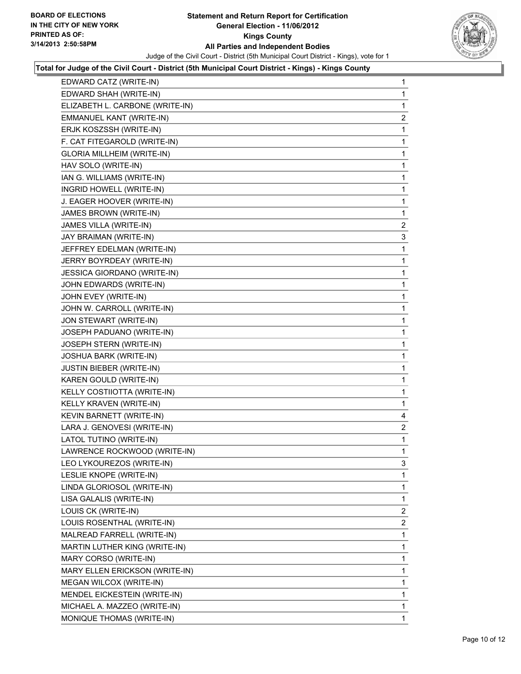

#### **Total for Judge of the Civil Court - District (5th Municipal Court District - Kings) - Kings County**

| EDWARD CATZ (WRITE-IN)            | 1              |
|-----------------------------------|----------------|
| EDWARD SHAH (WRITE-IN)            | 1              |
| ELIZABETH L. CARBONE (WRITE-IN)   | 1              |
| EMMANUEL KANT (WRITE-IN)          | $\overline{c}$ |
| ERJK KOSZSSH (WRITE-IN)           | 1              |
| F. CAT FITEGAROLD (WRITE-IN)      | 1              |
| <b>GLORIA MILLHEIM (WRITE-IN)</b> | 1              |
| HAV SOLO (WRITE-IN)               | 1              |
| IAN G. WILLIAMS (WRITE-IN)        | 1              |
| INGRID HOWELL (WRITE-IN)          | 1              |
| J. EAGER HOOVER (WRITE-IN)        | 1              |
| JAMES BROWN (WRITE-IN)            | 1              |
| JAMES VILLA (WRITE-IN)            | $\mathbf{2}$   |
| JAY BRAIMAN (WRITE-IN)            | 3              |
| JEFFREY EDELMAN (WRITE-IN)        | 1              |
| JERRY BOYRDEAY (WRITE-IN)         | 1              |
| JESSICA GIORDANO (WRITE-IN)       | 1              |
| JOHN EDWARDS (WRITE-IN)           | 1              |
| JOHN EVEY (WRITE-IN)              | 1              |
| JOHN W. CARROLL (WRITE-IN)        | 1              |
| JON STEWART (WRITE-IN)            | 1              |
| JOSEPH PADUANO (WRITE-IN)         | 1              |
| JOSEPH STERN (WRITE-IN)           | 1              |
| <b>JOSHUA BARK (WRITE-IN)</b>     | 1              |
| <b>JUSTIN BIEBER (WRITE-IN)</b>   | 1              |
| KAREN GOULD (WRITE-IN)            | 1              |
| KELLY COSTIIOTTA (WRITE-IN)       | 1              |
| KELLY KRAVEN (WRITE-IN)           | 1              |
| KEVIN BARNETT (WRITE-IN)          | 4              |
| LARA J. GENOVESI (WRITE-IN)       | $\overline{c}$ |
| LATOL TUTINO (WRITE-IN)           | 1              |
| LAWRENCE ROCKWOOD (WRITE-IN)      | 1              |
| LEO LYKOUREZOS (WRITE-IN)         | 3              |
| LESLIE KNOPE (WRITE-IN)           | 1              |
| LINDA GLORIOSOL (WRITE-IN)        | 1              |
| LISA GALALIS (WRITE-IN)           | 1              |
| LOUIS CK (WRITE-IN)               | 2              |
| LOUIS ROSENTHAL (WRITE-IN)        | 2              |
| MALREAD FARRELL (WRITE-IN)        | 1              |
| MARTIN LUTHER KING (WRITE-IN)     | 1              |
| MARY CORSO (WRITE-IN)             | 1              |
| MARY ELLEN ERICKSON (WRITE-IN)    | 1              |
| MEGAN WILCOX (WRITE-IN)           | 1              |
| MENDEL EICKESTEIN (WRITE-IN)      | 1              |
| MICHAEL A. MAZZEO (WRITE-IN)      | 1              |
| MONIQUE THOMAS (WRITE-IN)         | 1              |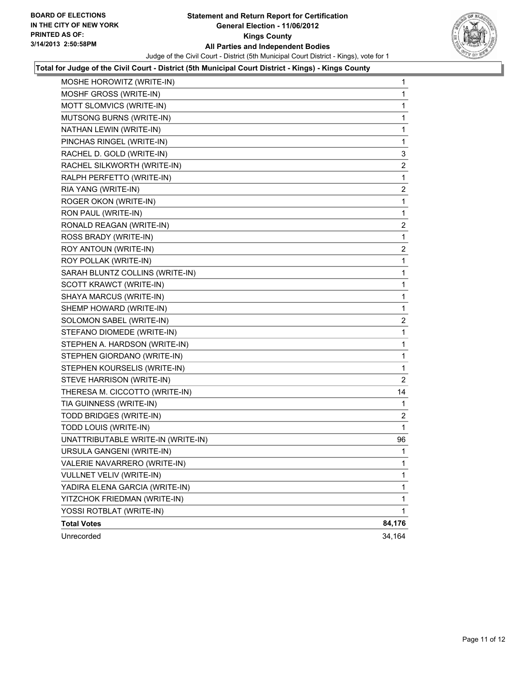

#### **Total for Judge of the Civil Court - District (5th Municipal Court District - Kings) - Kings County**

| MOSHE HOROWITZ (WRITE-IN)          | 1              |
|------------------------------------|----------------|
| MOSHF GROSS (WRITE-IN)             | $\mathbf{1}$   |
| MOTT SLOMVICS (WRITE-IN)           | 1              |
| MUTSONG BURNS (WRITE-IN)           | 1              |
| NATHAN LEWIN (WRITE-IN)            | 1              |
| PINCHAS RINGEL (WRITE-IN)          | 1              |
| RACHEL D. GOLD (WRITE-IN)          | 3              |
| RACHEL SILKWORTH (WRITE-IN)        | $\mathbf{2}$   |
| RALPH PERFETTO (WRITE-IN)          | 1              |
| RIA YANG (WRITE-IN)                | $\overline{c}$ |
| ROGER OKON (WRITE-IN)              | 1              |
| RON PAUL (WRITE-IN)                | 1              |
| RONALD REAGAN (WRITE-IN)           | 2              |
| ROSS BRADY (WRITE-IN)              | $\mathbf{1}$   |
| ROY ANTOUN (WRITE-IN)              | $\mathbf{2}$   |
| ROY POLLAK (WRITE-IN)              | 1              |
| SARAH BLUNTZ COLLINS (WRITE-IN)    | 1              |
| SCOTT KRAWCT (WRITE-IN)            | 1              |
| SHAYA MARCUS (WRITE-IN)            | 1              |
| SHEMP HOWARD (WRITE-IN)            | $\mathbf{1}$   |
| SOLOMON SABEL (WRITE-IN)           | $\mathbf{2}$   |
| STEFANO DIOMEDE (WRITE-IN)         | 1              |
| STEPHEN A. HARDSON (WRITE-IN)      | 1              |
| STEPHEN GIORDANO (WRITE-IN)        | 1              |
| STEPHEN KOURSELIS (WRITE-IN)       | 1              |
| STEVE HARRISON (WRITE-IN)          | 2              |
| THERESA M. CICCOTTO (WRITE-IN)     | 14             |
| TIA GUINNESS (WRITE-IN)            | 1              |
| TODD BRIDGES (WRITE-IN)            | 2              |
| TODD LOUIS (WRITE-IN)              | 1              |
| UNATTRIBUTABLE WRITE-IN (WRITE-IN) | 96             |
| URSULA GANGENI (WRITE-IN)          | 1              |
| VALERIE NAVARRERO (WRITE-IN)       | 1              |
| VULLNET VELIV (WRITE-IN)           | 1              |
| YADIRA ELENA GARCIA (WRITE-IN)     | 1              |
| YITZCHOK FRIEDMAN (WRITE-IN)       | 1              |
| YOSSI ROTBLAT (WRITE-IN)           | $\mathbf{1}$   |
| <b>Total Votes</b>                 | 84,176         |
| Unrecorded                         | 34,164         |
|                                    |                |